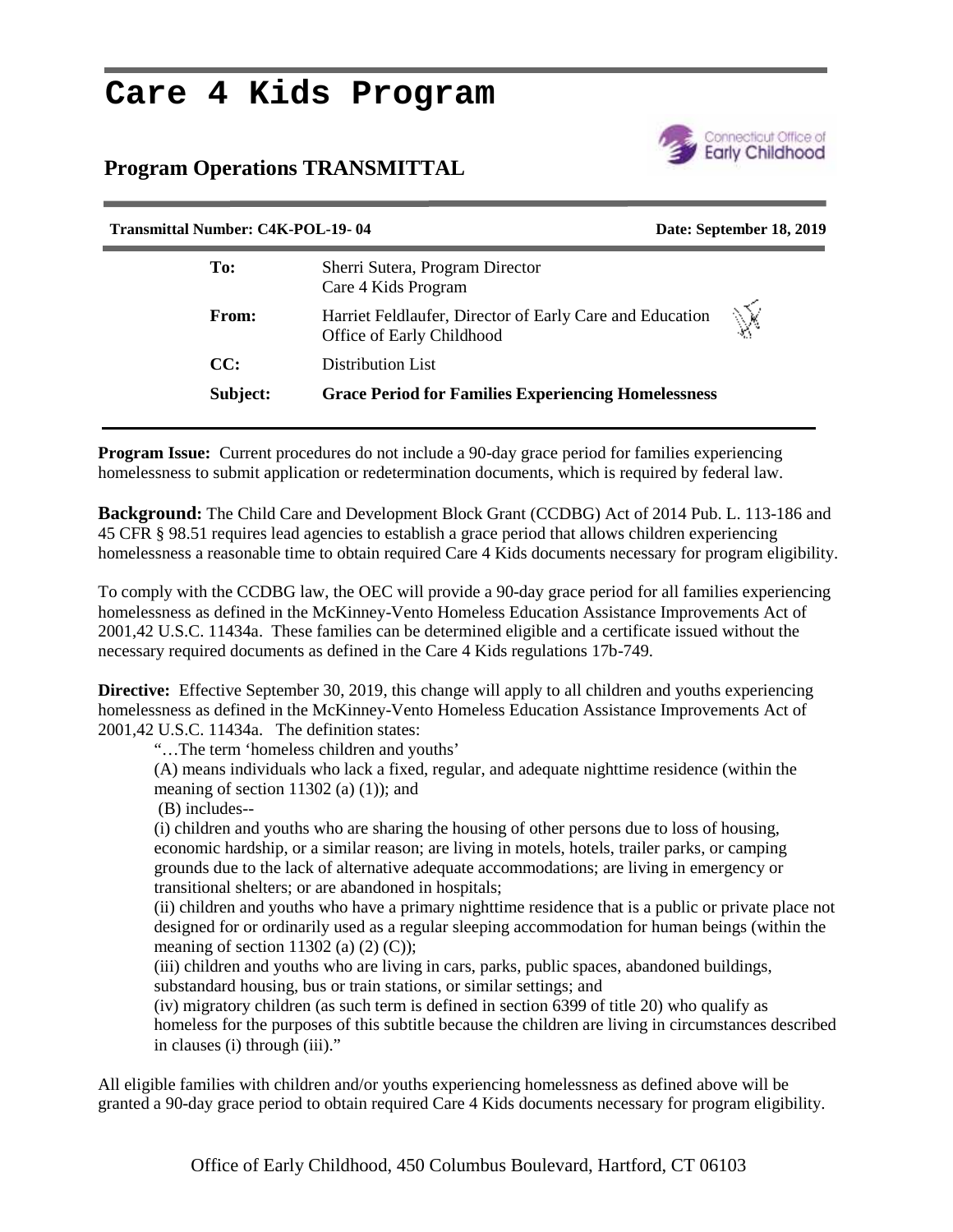# **Care 4 Kids Program**

# **Program Operations TRANSMITTAL**



| <b>Transmittal Number: C4K-POL-19-04</b><br>Date: September 18, 2019 |                                                                                            |
|----------------------------------------------------------------------|--------------------------------------------------------------------------------------------|
| To:                                                                  | Sherri Sutera, Program Director<br>Care 4 Kids Program                                     |
| From:                                                                | Ň<br>Harriet Feldlaufer, Director of Early Care and Education<br>Office of Early Childhood |
| CC:                                                                  | Distribution List                                                                          |
| Subject:                                                             | <b>Grace Period for Families Experiencing Homelessness</b>                                 |
|                                                                      |                                                                                            |

**Program Issue:** Current procedures do not include a 90-day grace period for families experiencing homelessness to submit application or redetermination documents, which is required by federal law.

**Background:** The Child Care and Development Block Grant (CCDBG) Act of 2014 Pub. L. 113-186 and 45 CFR § 98.51 requires lead agencies to establish a grace period that allows children experiencing homelessness a reasonable time to obtain required Care 4 Kids documents necessary for program eligibility.

To comply with the CCDBG law, the OEC will provide a 90-day grace period for all families experiencing homelessness as defined in the McKinney-Vento Homeless Education Assistance Improvements Act of 2001,42 U.S.C. 11434a. These families can be determined eligible and a certificate issued without the necessary required documents as defined in the Care 4 Kids regulations 17b-749.

**Directive:** Effective September 30, 2019, this change will apply to all children and youths experiencing homelessness as defined in the McKinney-Vento Homeless Education Assistance Improvements Act of 2001,42 U.S.C. 11434a. The definition states:

"…The term 'homeless children and youths'

(A) means individuals who lack a fixed, regular, and adequate nighttime residence (within the meaning of section 11302 (a)  $(1)$ ; and

(B) includes--

(i) children and youths who are sharing the housing of other persons due to loss of housing, economic hardship, or a similar reason; are living in motels, hotels, trailer parks, or camping grounds due to the lack of alternative adequate accommodations; are living in emergency or transitional shelters; or are abandoned in hospitals;

(ii) children and youths who have a primary nighttime residence that is a public or private place not designed for or ordinarily used as a regular sleeping accommodation for human beings (within the meaning of section 11302 (a)  $(2)$   $(C)$ );

(iii) children and youths who are living in cars, parks, public spaces, abandoned buildings, substandard housing, bus or train stations, or similar settings; and

(iv) migratory children (as such term is defined in section 6399 of title 20) who qualify as homeless for the purposes of this subtitle because the children are living in circumstances described in clauses (i) through (iii)."

All eligible families with children and/or youths experiencing homelessness as defined above will be granted a 90-day grace period to obtain required Care 4 Kids documents necessary for program eligibility.